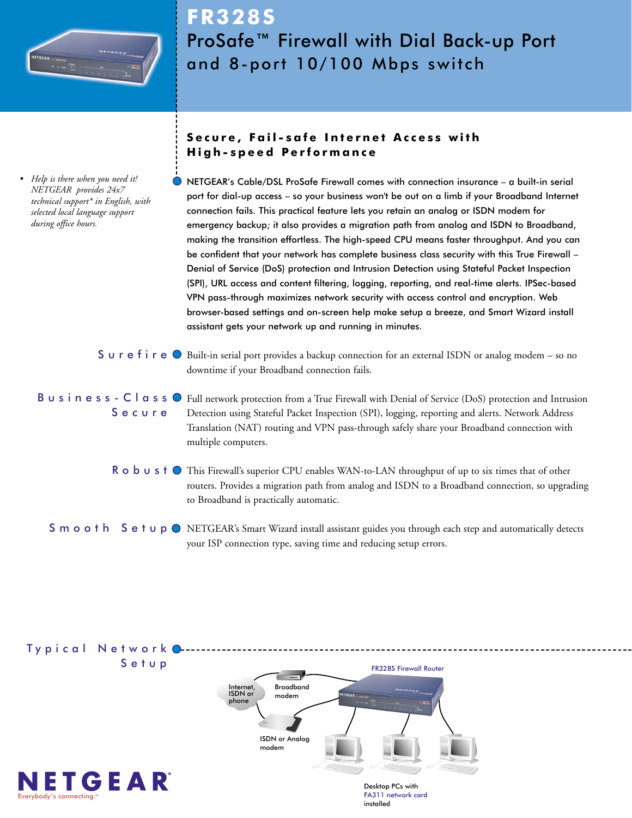

*• Help is there when you need it! NETGEAR provides 24x7 technical support\* in English, with selected local language support during office hours.*

# **FR328S** ProSafe™ Firewall with Dial Back-up Port and 8-port 10/100 Mbps switch

### **Secure, Fail-safe Internet Access with High-speed Performance**

NETGEAR's Cable/DSL ProSafe Firewall comes with connection insurance – a built-in serial port for dial-up access – so your business won't be out on a limb if your Broadband Internet connection fails. This practical feature lets you retain an analog or ISDN modem for emergency backup; it also provides a migration path from analog and ISDN to Broadband, making the transition effortless. The high-speed CPU means faster throughput. And you can be confident that your network has complete business class security with this True Firewall – Denial of Service (DoS) protection and Intrusion Detection using Stateful Packet Inspection (SPI), URL access and content filtering, logging, reporting, and real-time alerts. IPSec-based VPN pass-through maximizes network security with access control and encryption. Web browser-based settings and on-screen help make setup a breeze, and Smart Wizard install assistant gets your network up and running in minutes.

- $S$   $\cup$   $r$   $e$   $f$  i  $r$   $e$   $\circ$   $B$  built-in serial port provides a backup connection for an external ISDN or analog modem so no downtime if your Broadband connection fails.
- B u s i n e s s C l a s s O Full network protection from a True Firewall with Denial of Service (DoS) protection and Intrusion Secure Detection using Stateful Packet Inspection (SPI), logging, reporting and alerts. Network Address Translation (NAT) routing and VPN pass-through safely share your Broadband connection with multiple computers.
	- $\sf R$   $\sf o$   $\sf b$   $\sf u$   $\sf s$   $\sf t$   $\sf o$  This Firewall's superior CPU enables WAN-to-LAN throughput of up to six times that of other routers. Provides a migration path from analog and ISDN to a Broadband connection, so upgrading to Broadband is practically automatic.

S m o o t h S e t u p O NETGEAR's Smart Wizard install assistant guides you through each step and automatically detects your ISP connection type, saving time and reducing setup errors.